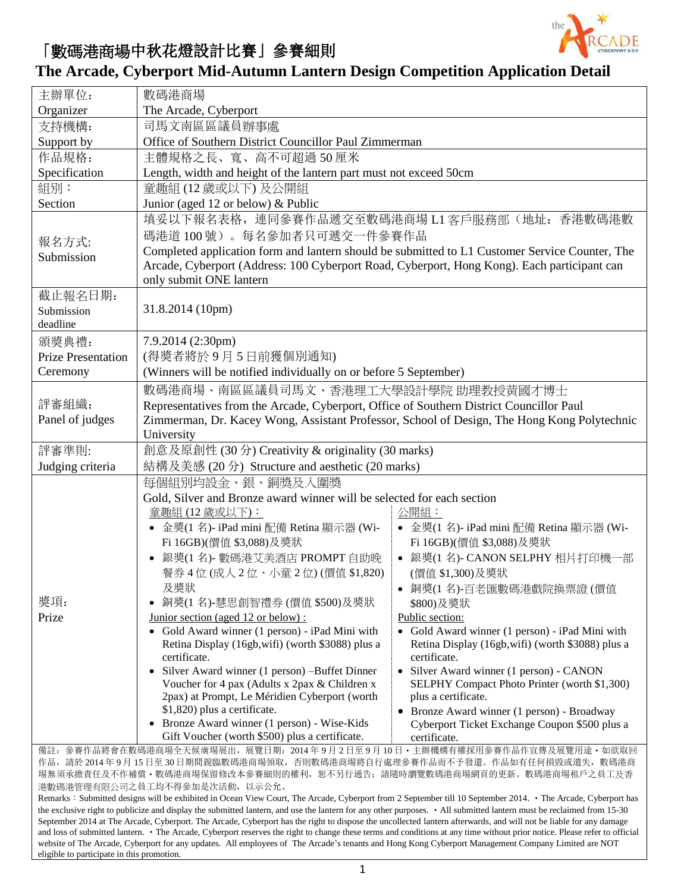

## 「數碼港商場中秋花燈設計比賽」參賽細則

eligible to participate in this promotion.

## **The Arcade, Cyberport Mid-Autumn Lantern Design Competition Application Detail**

| 主辦單位:                                                                                                                                                                                                                                                                                                                                 | 數碼港商場                                                                                                                                             |                                                                                          |  |  |  |
|---------------------------------------------------------------------------------------------------------------------------------------------------------------------------------------------------------------------------------------------------------------------------------------------------------------------------------------|---------------------------------------------------------------------------------------------------------------------------------------------------|------------------------------------------------------------------------------------------|--|--|--|
| Organizer                                                                                                                                                                                                                                                                                                                             | The Arcade, Cyberport                                                                                                                             |                                                                                          |  |  |  |
| 支持機構:                                                                                                                                                                                                                                                                                                                                 | 司馬文南區區議員辦事處                                                                                                                                       |                                                                                          |  |  |  |
| Support by                                                                                                                                                                                                                                                                                                                            | Office of Southern District Councillor Paul Zimmerman                                                                                             |                                                                                          |  |  |  |
| 作品規格:                                                                                                                                                                                                                                                                                                                                 | 主體規格之長、寬、高不可超過50厘米                                                                                                                                |                                                                                          |  |  |  |
| Specification                                                                                                                                                                                                                                                                                                                         | Length, width and height of the lantern part must not exceed 50cm                                                                                 |                                                                                          |  |  |  |
| 組別:                                                                                                                                                                                                                                                                                                                                   | 童趣組 (12 歲或以下)及公開組                                                                                                                                 |                                                                                          |  |  |  |
| Section                                                                                                                                                                                                                                                                                                                               | Junior (aged 12 or below) & Public                                                                                                                |                                                                                          |  |  |  |
|                                                                                                                                                                                                                                                                                                                                       | 填妥以下報名表格, 連同參賽作品遞交至數碼港商場 L1 客戶服務部(地址: 香港數碼港數                                                                                                      |                                                                                          |  |  |  |
| 報名方式:                                                                                                                                                                                                                                                                                                                                 | 碼港道100號)。每名參加者只可遞交一件參賽作品                                                                                                                          |                                                                                          |  |  |  |
| Submission                                                                                                                                                                                                                                                                                                                            | Completed application form and lantern should be submitted to L1 Customer Service Counter, The                                                    |                                                                                          |  |  |  |
|                                                                                                                                                                                                                                                                                                                                       | Arcade, Cyberport (Address: 100 Cyberport Road, Cyberport, Hong Kong). Each participant can<br>only submit ONE lantern                            |                                                                                          |  |  |  |
| 截止報名日期:                                                                                                                                                                                                                                                                                                                               |                                                                                                                                                   |                                                                                          |  |  |  |
| Submission                                                                                                                                                                                                                                                                                                                            | 31.8.2014 (10pm)                                                                                                                                  |                                                                                          |  |  |  |
| deadline                                                                                                                                                                                                                                                                                                                              |                                                                                                                                                   |                                                                                          |  |  |  |
| 頒獎典禮:                                                                                                                                                                                                                                                                                                                                 | 7.9.2014 (2:30pm)                                                                                                                                 |                                                                                          |  |  |  |
| <b>Prize Presentation</b>                                                                                                                                                                                                                                                                                                             | (得獎者將於9月5日前獲個別通知)                                                                                                                                 |                                                                                          |  |  |  |
| Ceremony                                                                                                                                                                                                                                                                                                                              | (Winners will be notified individually on or before 5 September)                                                                                  |                                                                                          |  |  |  |
|                                                                                                                                                                                                                                                                                                                                       | 數碼港商場、南區區議員司馬文、香港理工大學設計學院 助理教授黄國才博士                                                                                                               |                                                                                          |  |  |  |
| 評審組織:                                                                                                                                                                                                                                                                                                                                 | Representatives from the Arcade, Cyberport, Office of Southern District Councillor Paul                                                           |                                                                                          |  |  |  |
| Panel of judges                                                                                                                                                                                                                                                                                                                       | Zimmerman, Dr. Kacey Wong, Assistant Professor, School of Design, The Hong Kong Polytechnic                                                       |                                                                                          |  |  |  |
|                                                                                                                                                                                                                                                                                                                                       | University                                                                                                                                        |                                                                                          |  |  |  |
| 評審準則:                                                                                                                                                                                                                                                                                                                                 | 創意及原創性 (30分) Creativity & originality (30 marks)                                                                                                  |                                                                                          |  |  |  |
| Judging criteria                                                                                                                                                                                                                                                                                                                      | 結構及美感 (20分) Structure and aesthetic (20 marks)                                                                                                    |                                                                                          |  |  |  |
|                                                                                                                                                                                                                                                                                                                                       | 每個組別均設金、銀、銅獎及入圍獎                                                                                                                                  |                                                                                          |  |  |  |
|                                                                                                                                                                                                                                                                                                                                       | Gold, Silver and Bronze award winner will be selected for each section                                                                            |                                                                                          |  |  |  |
|                                                                                                                                                                                                                                                                                                                                       | 童趣組 (12 歲或以下):                                                                                                                                    | 公開組:                                                                                     |  |  |  |
|                                                                                                                                                                                                                                                                                                                                       | • 金獎(1名)- iPad mini 配備 Retina 顯示器 (Wi-                                                                                                            | • 金獎(1名)- iPad mini 配備 Retina 顯示器 (Wi-                                                   |  |  |  |
|                                                                                                                                                                                                                                                                                                                                       | Fi 16GB)(價值 \$3,088)及獎狀                                                                                                                           | Fi 16GB)(價值 \$3,088)及獎狀                                                                  |  |  |  |
|                                                                                                                                                                                                                                                                                                                                       | 銀獎(1名)- 數碼港艾美酒店 PROMPT 自助晚<br>$\bullet$<br>餐券4位(成人2位、小童2位)(價值\$1,820)                                                                             | • 銀獎(1名)-CANON SELPHY 相片打印機一部<br>(價值 \$1,300)及獎狀                                         |  |  |  |
|                                                                                                                                                                                                                                                                                                                                       | 及獎狀                                                                                                                                               | ● 銅獎(1名)-百老匯數碼港戲院換票證(價值                                                                  |  |  |  |
| 獎項:                                                                                                                                                                                                                                                                                                                                   | 銅獎(1名)-慧思創智禮券 (價值 \$500)及獎狀                                                                                                                       | \$800)及獎狀                                                                                |  |  |  |
| Prize                                                                                                                                                                                                                                                                                                                                 | Junior section (aged 12 or below):                                                                                                                | Public section:                                                                          |  |  |  |
|                                                                                                                                                                                                                                                                                                                                       | • Gold Award winner (1 person) - iPad Mini with                                                                                                   | • Gold Award winner (1 person) - iPad Mini with                                          |  |  |  |
|                                                                                                                                                                                                                                                                                                                                       | Retina Display (16gb, wifi) (worth \$3088) plus a                                                                                                 | Retina Display (16gb, wifi) (worth \$3088) plus a                                        |  |  |  |
|                                                                                                                                                                                                                                                                                                                                       | certificate.                                                                                                                                      | certificate.                                                                             |  |  |  |
|                                                                                                                                                                                                                                                                                                                                       | Silver Award winner (1 person) -Buffet Dinner<br>Voucher for 4 pax (Adults x 2pax & Children x                                                    | • Silver Award winner (1 person) - CANON<br>SELPHY Compact Photo Printer (worth \$1,300) |  |  |  |
|                                                                                                                                                                                                                                                                                                                                       | 2pax) at Prompt, Le Méridien Cyberport (worth                                                                                                     | plus a certificate.                                                                      |  |  |  |
|                                                                                                                                                                                                                                                                                                                                       | \$1,820) plus a certificate.                                                                                                                      | Bronze Award winner (1 person) - Broadway                                                |  |  |  |
|                                                                                                                                                                                                                                                                                                                                       | Bronze Award winner (1 person) - Wise-Kids                                                                                                        | Cyberport Ticket Exchange Coupon \$500 plus a                                            |  |  |  |
|                                                                                                                                                                                                                                                                                                                                       | Gift Voucher (worth \$500) plus a certificate.                                                                                                    | certificate.                                                                             |  |  |  |
|                                                                                                                                                                                                                                                                                                                                       | 備註: 參賽作品將會在數碼港商場全天候廣場展出, 展覽日期: 2014年9月2日至9月10日·主辦機構有權採用參賽作品作宣傳及展覽用途·如欲取回<br>作品,請於2014年9月15日至30日期間親臨數碼港商場領取,否則數碼港商場將自行處理參賽作品而不予發還。作品如有任何損毀或遺失,數碼港商 |                                                                                          |  |  |  |
|                                                                                                                                                                                                                                                                                                                                       | 場無須承擔責任及不作補償・數碼港商場保留修改本參賽細則的權利,恕不另行通告;請隨時瀏覽數碼港商場網頁的更新。數碼港商場租戶之員工及香                                                                                |                                                                                          |  |  |  |
| 港數碼港管理有限公司之員工均不得參加是次活動, 以示公允。                                                                                                                                                                                                                                                                                                         |                                                                                                                                                   |                                                                                          |  |  |  |
| Remarks : Submitted designs will be exhibited in Ocean View Court, The Arcade, Cyberport from 2 September till 10 September 2014. • The Arcade, Cyberport has<br>the exclusive right to publicize and display the submitted lantern, and use the lantern for any other purposes. • All submitted lantern must be reclaimed from 15-30 |                                                                                                                                                   |                                                                                          |  |  |  |
| September 2014 at The Arcade, Cyberport. The Arcade, Cyberport has the right to dispose the uncollected lantern afterwards, and will not be liable for any damage                                                                                                                                                                     |                                                                                                                                                   |                                                                                          |  |  |  |
| and loss of submitted lantern. • The Arcade, Cyberport reserves the right to change these terms and conditions at any time without prior notice. Please refer to official<br>website of The Arcade, Cyberport for any updates. All employees of The Arcade's tenants and Hong Kong Cyberport Management Company Limited are NOT       |                                                                                                                                                   |                                                                                          |  |  |  |